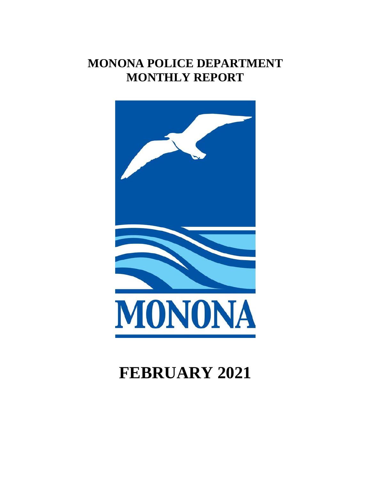## **MONONA POLICE DEPARTMENT MONTHLY REPORT**



# **FEBRUARY 2021**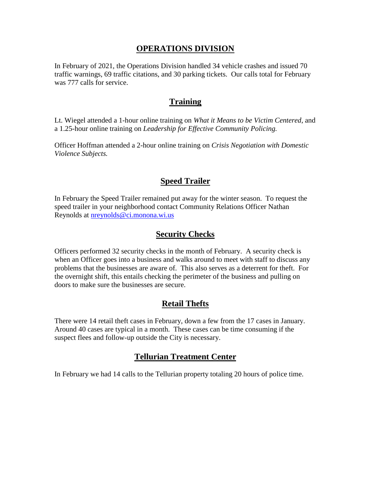#### **OPERATIONS DIVISION**

In February of 2021, the Operations Division handled 34 vehicle crashes and issued 70 traffic warnings, 69 traffic citations, and 30 parking tickets. Our calls total for February was 777 calls for service.

#### **Training**

Lt. Wiegel attended a 1-hour online training on *What it Means to be Victim Centered*, and a 1.25-hour online training on *Leadership for Effective Community Policing.*

Officer Hoffman attended a 2-hour online training on *Crisis Negotiation with Domestic Violence Subjects.*

## **Speed Trailer**

In February the Speed Trailer remained put away for the winter season. To request the speed trailer in your neighborhood contact Community Relations Officer Nathan Reynolds at [nreynolds@ci.monona.wi.us](mailto:nreynolds@ci.monona.wi.us)

## **Security Checks**

Officers performed 32 security checks in the month of February. A security check is when an Officer goes into a business and walks around to meet with staff to discuss any problems that the businesses are aware of. This also serves as a deterrent for theft. For the overnight shift, this entails checking the perimeter of the business and pulling on doors to make sure the businesses are secure.

## **Retail Thefts**

There were 14 retail theft cases in February, down a few from the 17 cases in January. Around 40 cases are typical in a month. These cases can be time consuming if the suspect flees and follow-up outside the City is necessary.

## **Tellurian Treatment Center**

In February we had 14 calls to the Tellurian property totaling 20 hours of police time.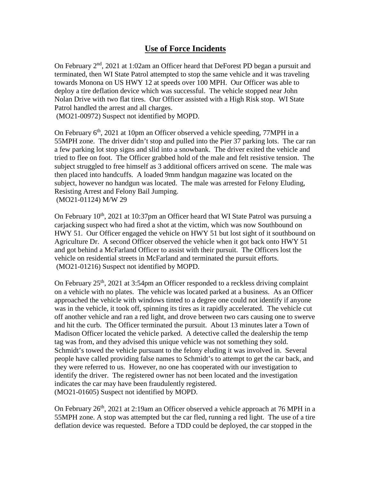#### **Use of Force Incidents**

On February  $2<sup>nd</sup>$ , 2021 at 1:02am an Officer heard that DeForest PD began a pursuit and terminated, then WI State Patrol attempted to stop the same vehicle and it was traveling towards Monona on US HWY 12 at speeds over 100 MPH. Our Officer was able to deploy a tire deflation device which was successful. The vehicle stopped near John Nolan Drive with two flat tires. Our Officer assisted with a High Risk stop. WI State Patrol handled the arrest and all charges.

(MO21-00972) Suspect not identified by MOPD.

(MO21-01216) Suspect not identified by MOPD.

On February  $6<sup>th</sup>$ , 2021 at 10pm an Officer observed a vehicle speeding, 77MPH in a 55MPH zone. The driver didn't stop and pulled into the Pier 37 parking lots. The car ran a few parking lot stop signs and slid into a snowbank. The driver exited the vehicle and tried to flee on foot. The Officer grabbed hold of the male and felt resistive tension. The subject struggled to free himself as 3 additional officers arrived on scene. The male was then placed into handcuffs. A loaded 9mm handgun magazine was located on the subject, however no handgun was located. The male was arrested for Felony Eluding, Resisting Arrest and Felony Bail Jumping. (MO21-01124) M/W 29

On February 10<sup>th</sup>, 2021 at 10:37pm an Officer heard that WI State Patrol was pursuing a carjacking suspect who had fired a shot at the victim, which was now Southbound on HWY 51. Our Officer engaged the vehicle on HWY 51 but lost sight of it southbound on Agriculture Dr. A second Officer observed the vehicle when it got back onto HWY 51 and got behind a McFarland Officer to assist with their pursuit. The Officers lost the vehicle on residential streets in McFarland and terminated the pursuit efforts.

On February  $25<sup>th</sup>$ , 2021 at 3:54pm an Officer responded to a reckless driving complaint on a vehicle with no plates. The vehicle was located parked at a business. As an Officer approached the vehicle with windows tinted to a degree one could not identify if anyone was in the vehicle, it took off, spinning its tires as it rapidly accelerated. The vehicle cut off another vehicle and ran a red light, and drove between two cars causing one to swerve and hit the curb. The Officer terminated the pursuit. About 13 minutes later a Town of Madison Officer located the vehicle parked. A detective called the dealership the temp tag was from, and they advised this unique vehicle was not something they sold. Schmidt's towed the vehicle pursuant to the felony eluding it was involved in. Several people have called providing false names to Schmidt's to attempt to get the car back, and they were referred to us. However, no one has cooperated with our investigation to identify the driver. The registered owner has not been located and the investigation indicates the car may have been fraudulently registered. (MO21-01605) Suspect not identified by MOPD.

On February  $26<sup>th</sup>$ , 2021 at 2:19am an Officer observed a vehicle approach at 76 MPH in a 55MPH zone. A stop was attempted but the car fled, running a red light. The use of a tire deflation device was requested. Before a TDD could be deployed, the car stopped in the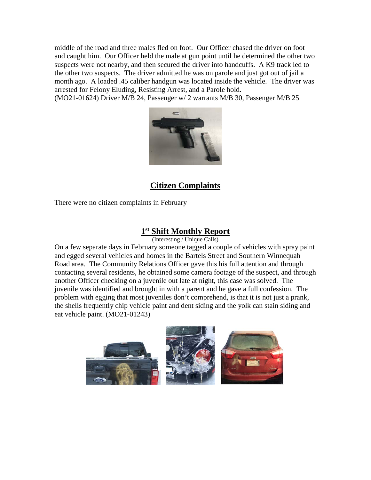middle of the road and three males fled on foot. Our Officer chased the driver on foot and caught him. Our Officer held the male at gun point until he determined the other two suspects were not nearby, and then secured the driver into handcuffs. A K9 track led to the other two suspects. The driver admitted he was on parole and just got out of jail a month ago. A loaded .45 caliber handgun was located inside the vehicle. The driver was arrested for Felony Eluding, Resisting Arrest, and a Parole hold.

(MO21-01624) Driver M/B 24, Passenger w/ 2 warrants M/B 30, Passenger M/B 25



#### **Citizen Complaints**

There were no citizen complaints in February

#### **1st Shift Monthly Report**

(Interesting / Unique Calls)

On a few separate days in February someone tagged a couple of vehicles with spray paint and egged several vehicles and homes in the Bartels Street and Southern Winnequah Road area. The Community Relations Officer gave this his full attention and through contacting several residents, he obtained some camera footage of the suspect, and through another Officer checking on a juvenile out late at night, this case was solved. The juvenile was identified and brought in with a parent and he gave a full confession. The problem with egging that most juveniles don't comprehend, is that it is not just a prank, the shells frequently chip vehicle paint and dent siding and the yolk can stain siding and eat vehicle paint. (MO21-01243)

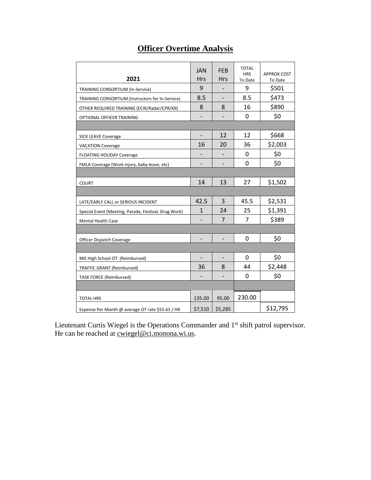| <b>Officer Overtime Analysis</b> |
|----------------------------------|
|----------------------------------|

| 2021                                                 | <b>JAN</b><br><b>Hrs</b> | <b>FEB</b><br><b>Hrs</b> | <b>TOTAL</b><br><b>HRS</b><br>To Date | <b>APPROX COST</b><br>To Date |
|------------------------------------------------------|--------------------------|--------------------------|---------------------------------------|-------------------------------|
| TRAINING CONSORTIUM (In-Service)                     | 9                        |                          | 9                                     | \$501                         |
| TRAINING CONSORTIUM (Instructors for In-Service)     | 8.5                      |                          | 8.5                                   | \$473                         |
| OTHER REQUIRED TRAINING (ECIR/Radar/CPR/K9)          | 8                        | 8                        | 16                                    | \$890                         |
| OPTIONAL OFFICER TRAINING                            |                          |                          | 0                                     | \$0                           |
|                                                      |                          |                          |                                       |                               |
| <b>SICK LEAVE Coverage</b>                           |                          | 12                       | 12                                    | \$668                         |
| <b>VACATION Coverage</b>                             | 16                       | 20                       | 36                                    | \$2,003                       |
| FLOATING HOLIDAY Coverage                            |                          |                          | 0                                     | \$0                           |
| FMLA Coverage (Work injury, baby leave, etc)         |                          |                          | 0                                     | \$0                           |
|                                                      |                          |                          |                                       |                               |
| <b>COURT</b>                                         | 14                       | 13                       | 27                                    | \$1,502                       |
|                                                      |                          |                          |                                       |                               |
| LATE/EARLY CALL or SERIOUS INCIDENT                  | 42.5                     | 3                        | 45.5                                  | \$2,531                       |
| Special Event (Meeting, Parade, Festival, Drug Work) | $\mathbf{1}$             | 24                       | 25                                    | \$1,391                       |
| <b>Mental Health Case</b>                            |                          | 7                        | 7                                     | \$389                         |
|                                                      |                          |                          |                                       |                               |
| Officer Dispatch Coverage                            | $\overline{\phantom{m}}$ | $\overline{a}$           | 0                                     | \$0                           |
|                                                      |                          |                          |                                       |                               |
| MG High School OT (Reimbursed)                       | $\overline{\phantom{a}}$ | -                        | 0                                     | \$0                           |
| <b>TRAFFIC GRANT (Reimbursed)</b>                    | 36                       | 8                        | 44                                    | \$2,448                       |
| <b>TASK FORCE (Reimbursed)</b>                       |                          |                          | 0                                     | \$0                           |
|                                                      |                          |                          |                                       |                               |
| <b>TOTAL HRS</b>                                     | 135.00                   | 95.00                    | 230.00                                |                               |
| Expense Per Month @ average OT rate \$55.63 / HR     | \$7,510                  | \$5,285                  |                                       | \$12,795                      |

Lieutenant Curtis Wiegel is the Operations Commander and 1<sup>st</sup> shift patrol supervisor. He can be reached at <u>cwiegel@ci.monona.wi.us</u>.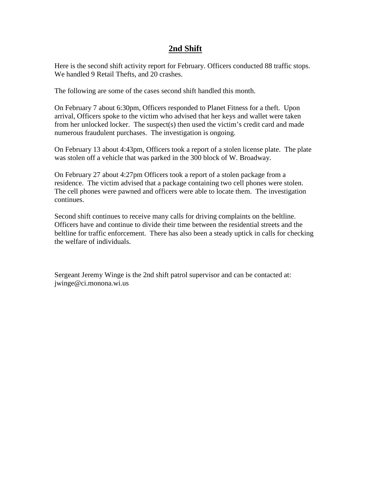#### **2nd Shift**

Here is the second shift activity report for February. Officers conducted 88 traffic stops. We handled 9 Retail Thefts, and 20 crashes.

The following are some of the cases second shift handled this month.

On February 7 about 6:30pm, Officers responded to Planet Fitness for a theft. Upon arrival, Officers spoke to the victim who advised that her keys and wallet were taken from her unlocked locker. The suspect(s) then used the victim's credit card and made numerous fraudulent purchases. The investigation is ongoing.

On February 13 about 4:43pm, Officers took a report of a stolen license plate. The plate was stolen off a vehicle that was parked in the 300 block of W. Broadway.

On February 27 about 4:27pm Officers took a report of a stolen package from a residence. The victim advised that a package containing two cell phones were stolen. The cell phones were pawned and officers were able to locate them. The investigation continues.

Second shift continues to receive many calls for driving complaints on the beltline. Officers have and continue to divide their time between the residential streets and the beltline for traffic enforcement. There has also been a steady uptick in calls for checking the welfare of individuals.

Sergeant Jeremy Winge is the 2nd shift patrol supervisor and can be contacted at: jwinge@ci.monona.wi.us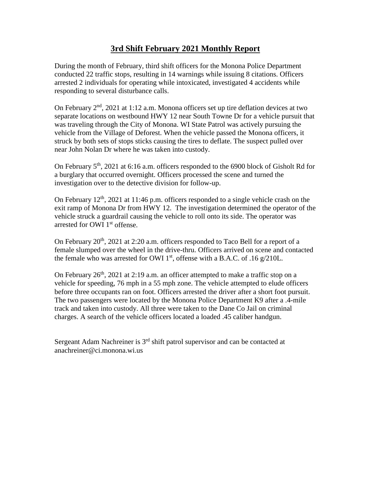## **3rd Shift February 2021 Monthly Report**

During the month of February, third shift officers for the Monona Police Department conducted 22 traffic stops, resulting in 14 warnings while issuing 8 citations. Officers arrested 2 individuals for operating while intoxicated, investigated 4 accidents while responding to several disturbance calls.

On February 2<sup>nd</sup>, 2021 at 1:12 a.m. Monona officers set up tire deflation devices at two separate locations on westbound HWY 12 near South Towne Dr for a vehicle pursuit that was traveling through the City of Monona. WI State Patrol was actively pursuing the vehicle from the Village of Deforest. When the vehicle passed the Monona officers, it struck by both sets of stops sticks causing the tires to deflate. The suspect pulled over near John Nolan Dr where he was taken into custody.

On February  $5<sup>th</sup>$ , 2021 at 6:16 a.m. officers responded to the 6900 block of Gisholt Rd for a burglary that occurred overnight. Officers processed the scene and turned the investigation over to the detective division for follow-up.

On February  $12<sup>th</sup>$ , 2021 at 11:46 p.m. officers responded to a single vehicle crash on the exit ramp of Monona Dr from HWY 12. The investigation determined the operator of the vehicle struck a guardrail causing the vehicle to roll onto its side. The operator was arrested for OWI 1<sup>st</sup> offense.

On February  $20<sup>th</sup>$ ,  $2021$  at  $2:20$  a.m. officers responded to Taco Bell for a report of a female slumped over the wheel in the drive-thru. Officers arrived on scene and contacted the female who was arrested for OWI  $1<sup>st</sup>$ , offense with a B.A.C. of .16 g/210L.

On February  $26<sup>th</sup>$ , 2021 at 2:19 a.m. an officer attempted to make a traffic stop on a vehicle for speeding, 76 mph in a 55 mph zone. The vehicle attempted to elude officers before three occupants ran on foot. Officers arrested the driver after a short foot pursuit. The two passengers were located by the Monona Police Department K9 after a .4-mile track and taken into custody. All three were taken to the Dane Co Jail on criminal charges. A search of the vehicle officers located a loaded .45 caliber handgun.

Sergeant Adam Nachreiner is  $3<sup>rd</sup>$  shift patrol supervisor and can be contacted at anachreiner@ci.monona.wi.us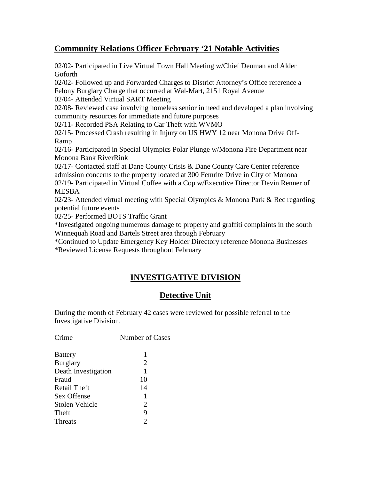## **Community Relations Officer February '21 Notable Activities**

02/02- Participated in Live Virtual Town Hall Meeting w/Chief Deuman and Alder Goforth

02/02- Followed up and Forwarded Charges to District Attorney's Office reference a Felony Burglary Charge that occurred at Wal-Mart, 2151 Royal Avenue

02/04- Attended Virtual SART Meeting

02/08- Reviewed case involving homeless senior in need and developed a plan involving community resources for immediate and future purposes

02/11- Recorded PSA Relating to Car Theft with WVMO

02/15- Processed Crash resulting in Injury on US HWY 12 near Monona Drive Off-Ramp

02/16- Participated in Special Olympics Polar Plunge w/Monona Fire Department near Monona Bank RiverRink

02/17- Contacted staff at Dane County Crisis & Dane County Care Center reference admission concerns to the property located at 300 Femrite Drive in City of Monona 02/19- Participated in Virtual Coffee with a Cop w/Executive Director Devin Renner of MESBA

02/23- Attended virtual meeting with Special Olympics & Monona Park & Rec regarding potential future events

02/25- Performed BOTS Traffic Grant

\*Investigated ongoing numerous damage to property and graffiti complaints in the south Winnequah Road and Bartels Street area through February

\*Continued to Update Emergency Key Holder Directory reference Monona Businesses \*Reviewed License Requests throughout February

## **INVESTIGATIVE DIVISION**

## **Detective Unit**

During the month of February 42 cases were reviewed for possible referral to the Investigative Division.

Crime Number of Cases

| <b>Battery</b>        | 1                           |
|-----------------------|-----------------------------|
| <b>Burglary</b>       | $\overline{2}$              |
| Death Investigation   | 1                           |
| Fraud                 | 10                          |
| <b>Retail Theft</b>   | 14                          |
| Sex Offense           | 1                           |
| <b>Stolen Vehicle</b> | $\overline{2}$              |
| Theft                 | 9                           |
| <b>Threats</b>        | $\mathcal{D}_{\mathcal{L}}$ |
|                       |                             |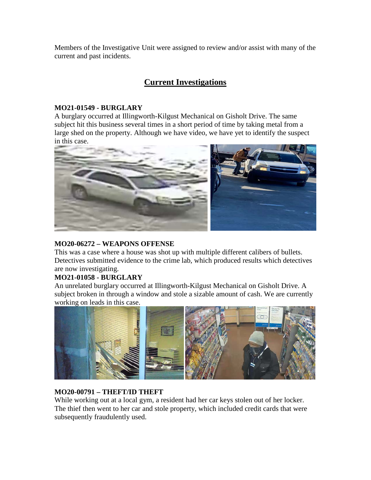Members of the Investigative Unit were assigned to review and/or assist with many of the current and past incidents.

## **Current Investigations**

#### **MO21-01549 - BURGLARY**

A burglary occurred at Illingworth-Kilgust Mechanical on Gisholt Drive. The same subject hit this business several times in a short period of time by taking metal from a large shed on the property. Although we have video, we have yet to identify the suspect in this case.



#### **MO20-06272 – WEAPONS OFFENSE**

This was a case where a house was shot up with multiple different calibers of bullets. Detectives submitted evidence to the crime lab, which produced results which detectives are now investigating.

#### **MO21-01058 - BURGLARY**

An unrelated burglary occurred at Illingworth-Kilgust Mechanical on Gisholt Drive. A subject broken in through a window and stole a sizable amount of cash. We are currently working on leads in this case.



#### **MO20-00791 – THEFT/ID THEFT**

While working out at a local gym, a resident had her car keys stolen out of her locker. The thief then went to her car and stole property, which included credit cards that were subsequently fraudulently used.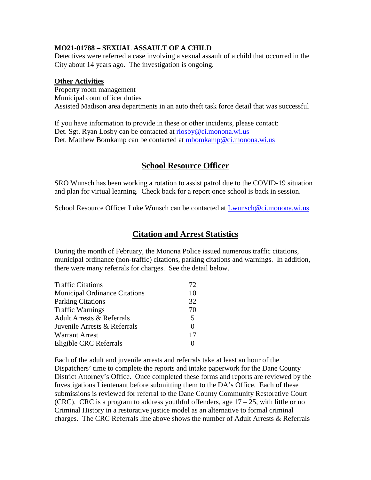#### **MO21-01788 – SEXUAL ASSAULT OF A CHILD**

Detectives were referred a case involving a sexual assault of a child that occurred in the City about 14 years ago. The investigation is ongoing.

#### **Other Activities**

Property room management Municipal court officer duties Assisted Madison area departments in an auto theft task force detail that was successful

If you have information to provide in these or other incidents, please contact: Det. Sgt. Ryan Losby can be contacted at [rlosby@ci.monona.wi.us](mailto:rlosby@ci.monona.wi.us) Det. Matthew Bomkamp can be contacted at [mbomkamp@ci.monona.wi.us](mailto:mbomkamp@ci.monona.wi.us)

## **School Resource Officer**

SRO Wunsch has been working a rotation to assist patrol due to the COVID-19 situation and plan for virtual learning. Check back for a report once school is back in session.

School Resource Officer Luke Wunsch can be contacted at [Lwunsch@ci.monona.wi.us](mailto:Lwunsch@ci.monona.wi.us)

#### **Citation and Arrest Statistics**

During the month of February, the Monona Police issued numerous traffic citations, municipal ordinance (non-traffic) citations, parking citations and warnings. In addition, there were many referrals for charges. See the detail below.

| <b>Traffic Citations</b>             | 72.      |
|--------------------------------------|----------|
| <b>Municipal Ordinance Citations</b> | 10       |
| <b>Parking Citations</b>             | 32       |
| <b>Traffic Warnings</b>              | 70       |
| <b>Adult Arrests &amp; Referrals</b> | 5        |
| Juvenile Arrests & Referrals         | $\Omega$ |
| <b>Warrant Arrest</b>                | 17       |
| Eligible CRC Referrals               |          |
|                                      |          |

Each of the adult and juvenile arrests and referrals take at least an hour of the Dispatchers' time to complete the reports and intake paperwork for the Dane County District Attorney's Office. Once completed these forms and reports are reviewed by the Investigations Lieutenant before submitting them to the DA's Office. Each of these submissions is reviewed for referral to the Dane County Community Restorative Court (CRC). CRC is a program to address youthful offenders, age  $17 - 25$ , with little or no Criminal History in a restorative justice model as an alternative to formal criminal charges. The CRC Referrals line above shows the number of Adult Arrests & Referrals